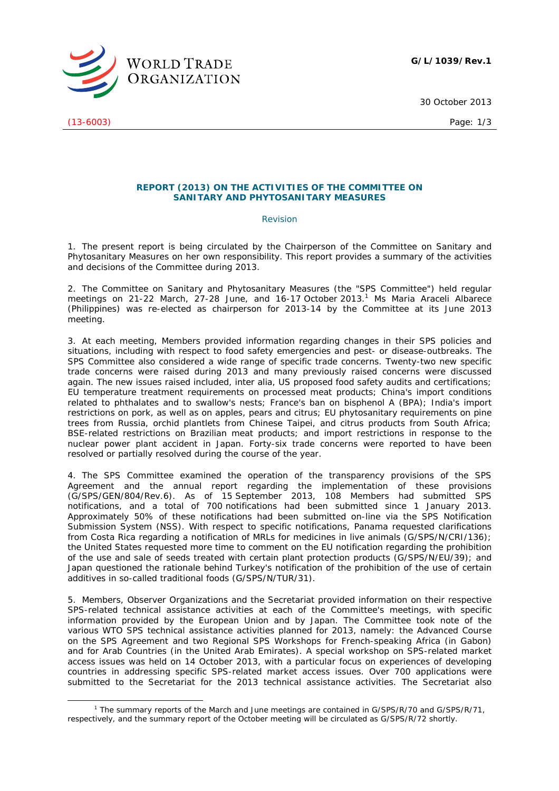

30 October 2013

(13-6003) Page: 1/3

## **REPORT (2013) ON THE ACTIVITIES OF THE COMMITTEE ON SANITARY AND PHYTOSANITARY MEASURES**

## *Revision*

1. The present report is being circulated by the Chairperson of the Committee on Sanitary and Phytosanitary Measures on her own responsibility. This report provides a summary of the activities and decisions of the Committee during 2013.

2. The Committee on Sanitary and Phytosanitary Measures (the "SPS Committee") held regular meetings on 21-22 March, 27-28 June, and 16-17 October 2013.<sup>1</sup> Ms Maria Araceli Albarece (Philippines) was re-elected as chairperson for 2013-14 by the Committee at its June 2013 meeting.

3. At each meeting, Members provided information regarding changes in their SPS policies and situations, including with respect to food safety emergencies and pest- or disease-outbreaks. The SPS Committee also considered a wide range of specific trade concerns. Twenty-two new specific trade concerns were raised during 2013 and many previously raised concerns were discussed again. The new issues raised included, *inter alia*, US proposed food safety audits and certifications; EU temperature treatment requirements on processed meat products; China's import conditions related to phthalates and to swallow's nests; France's ban on bisphenol A (BPA); India's import restrictions on pork, as well as on apples, pears and citrus; EU phytosanitary requirements on pine trees from Russia, orchid plantlets from Chinese Taipei, and citrus products from South Africa; BSE-related restrictions on Brazilian meat products; and import restrictions in response to the nuclear power plant accident in Japan. Forty-six trade concerns were reported to have been resolved or partially resolved during the course of the year.

4. The SPS Committee examined the operation of the transparency provisions of the SPS Agreement and the annual report regarding the implementation of these provisions (G/SPS/GEN/804/Rev.6). As of 15 September 2013, 108 Members had submitted SPS notifications, and a total of 700 notifications had been submitted since 1 January 2013. Approximately 50% of these notifications had been submitted on-line via the SPS Notification Submission System (NSS). With respect to specific notifications, Panama requested clarifications from Costa Rica regarding a notification of MRLs for medicines in live animals (G/SPS/N/CRI/136); the United States requested more time to comment on the EU notification regarding the prohibition of the use and sale of seeds treated with certain plant protection products (G/SPS/N/EU/39); and Japan questioned the rationale behind Turkey's notification of the prohibition of the use of certain additives in so-called traditional foods (G/SPS/N/TUR/31).

5. Members, Observer Organizations and the Secretariat provided information on their respective SPS-related technical assistance activities at each of the Committee's meetings, with specific information provided by the European Union and by Japan. The Committee took note of the various WTO SPS technical assistance activities planned for 2013, namely: the Advanced Course on the SPS Agreement and two Regional SPS Workshops for French-speaking Africa (in Gabon) and for Arab Countries (in the United Arab Emirates). A special workshop on SPS-related market access issues was held on 14 October 2013, with a particular focus on experiences of developing countries in addressing specific SPS-related market access issues. Over 700 applications were submitted to the Secretariat for the 2013 technical assistance activities. The Secretariat also

 $\frac{1}{1}$ <sup>1</sup> The summary reports of the March and June meetings are contained in G/SPS/R/70 and G/SPS/R/71, respectively, and the summary report of the October meeting will be circulated as G/SPS/R/72 shortly.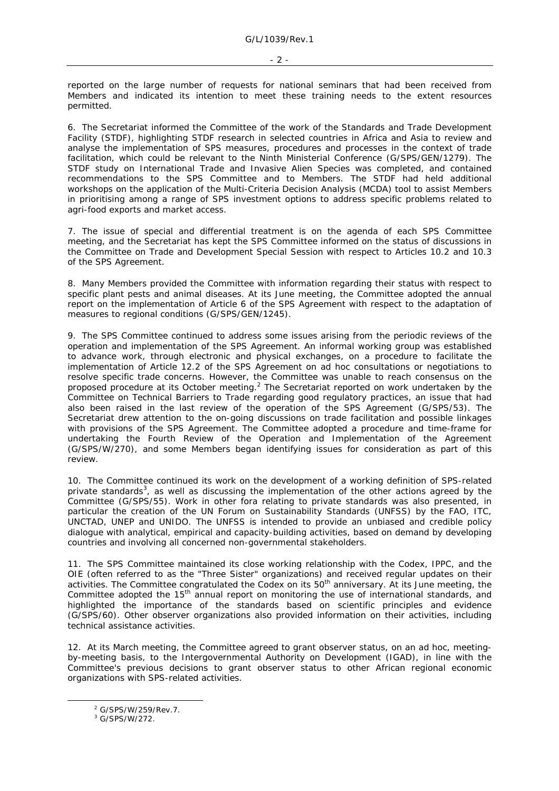reported on the large number of requests for national seminars that had been received from Members and indicated its intention to meet these training needs to the extent resources permitted.

6. The Secretariat informed the Committee of the work of the Standards and Trade Development Facility (STDF), highlighting STDF research in selected countries in Africa and Asia to review and analyse the implementation of SPS measures, procedures and processes in the context of trade facilitation, which could be relevant to the Ninth Ministerial Conference (G/SPS/GEN/1279). The STDF study on International Trade and Invasive Alien Species was completed, and contained recommendations to the SPS Committee and to Members. The STDF had held additional workshops on the application of the Multi-Criteria Decision Analysis (MCDA) tool to assist Members in prioritising among a range of SPS investment options to address specific problems related to agri-food exports and market access.

7. The issue of special and differential treatment is on the agenda of each SPS Committee meeting, and the Secretariat has kept the SPS Committee informed on the status of discussions in the Committee on Trade and Development Special Session with respect to Articles 10.2 and 10.3 of the SPS Agreement.

8. Many Members provided the Committee with information regarding their status with respect to specific plant pests and animal diseases. At its June meeting, the Committee adopted the annual report on the implementation of Article 6 of the SPS Agreement with respect to the adaptation of measures to regional conditions (G/SPS/GEN/1245).

9. The SPS Committee continued to address some issues arising from the periodic reviews of the operation and implementation of the SPS Agreement. An informal working group was established to advance work, through electronic and physical exchanges, on a procedure to facilitate the implementation of Article 12.2 of the SPS Agreement on ad hoc consultations or negotiations to resolve specific trade concerns. However, the Committee was unable to reach consensus on the proposed procedure at its October meeting.<sup>2</sup> The Secretariat reported on work undertaken by the Committee on Technical Barriers to Trade regarding good regulatory practices, an issue that had also been raised in the last review of the operation of the SPS Agreement (G/SPS/53). The Secretariat drew attention to the on-going discussions on trade facilitation and possible linkages with provisions of the SPS Agreement. The Committee adopted a procedure and time-frame for undertaking the Fourth Review of the Operation and Implementation of the Agreement (G/SPS/W/270), and some Members began identifying issues for consideration as part of this review.

10. The Committee continued its work on the development of a working definition of SPS-related private standards<sup>3</sup>, as well as discussing the implementation of the other actions agreed by the Committee (G/SPS/55). Work in other fora relating to private standards was also presented, in particular the creation of the UN Forum on Sustainability Standards (UNFSS) by the FAO, ITC, UNCTAD, UNEP and UNIDO. The UNFSS is intended to provide an unbiased and credible policy dialogue with analytical, empirical and capacity-building activities, based on demand by developing countries and involving all concerned non-governmental stakeholders.

11. The SPS Committee maintained its close working relationship with the Codex, IPPC, and the OIE (often referred to as the "Three Sister" organizations) and received regular updates on their activities. The Committee congratulated the Codex on its 50<sup>th</sup> anniversary. At its June meeting, the Committee adopted the 15<sup>th</sup> annual report on monitoring the use of international standards, and highlighted the importance of the standards based on scientific principles and evidence (G/SPS/60). Other observer organizations also provided information on their activities, including technical assistance activities.

12. At its March meeting, the Committee agreed to grant observer status, on an ad hoc, meetingby-meeting basis, to the Intergovernmental Authority on Development (IGAD), in line with the Committee's previous decisions to grant observer status to other African regional economic organizations with SPS-related activities.

 $\frac{1}{2}$ <sup>2</sup> G/SPS/W/259/Rev.7.

<sup>3</sup> G/SPS/W/272.